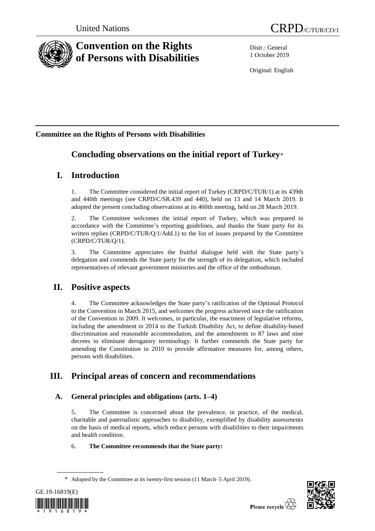

# **Convention on the Rights of Persons with Disabilities**

Distr.: General 1 October 2019

Original: English

# **Committee on the Rights of Persons with Disabilities**

# **Concluding observations on the initial report of Turkey**\*

# **I. Introduction**

1. The Committee considered the initial report of Turkey (CRPD/C/TUR/1) at its 439th and 440th meetings (see CRPD/C/SR.439 and 440), held on 13 and 14 March 2019. It adopted the present concluding observations at its 460th meeting, held on 28 March 2019.

2. The Committee welcomes the initial report of Turkey, which was prepared in accordance with the Committee's reporting guidelines, and thanks the State party for its written replies (CRPD/C/TUR/Q/1/Add.1) to the list of issues prepared by the Committee (CRPD/C/TUR/Q/1).

3. The Committee appreciates the fruitful dialogue held with the State party's delegation and commends the State party for the strength of its delegation, which included representatives of relevant government ministries and the office of the ombudsman.

# **II. Positive aspects**

4. The Committee acknowledges the State party's ratification of the Optional Protocol to the Convention in March 2015, and welcomes the progress achieved since the ratification of the Convention in 2009. It welcomes, in particular, the enactment of legislative reforms, including the amendment in 2014 to the Turkish Disability Act, to define disability-based discrimination and reasonable accommodation, and the amendments to 87 laws and nine decrees to eliminate derogatory terminology. It further commends the State party for amending the Constitution in 2010 to provide affirmative measures for, among others, persons with disabilities.

# **III. Principal areas of concern and recommendations**

# **A. General principles and obligations (arts. 1–4)**

5. The Committee is concerned about the prevalence, in practice, of the medical, charitable and paternalistic approaches to disability, exemplified by disability assessments on the basis of medical reports, which reduce persons with disabilities to their impairments and health condition.

# 6. **The Committee recommends that the State party:**

<sup>\*</sup> Adopted by the Committee at its twenty-first session (11 March–5 April 2019).



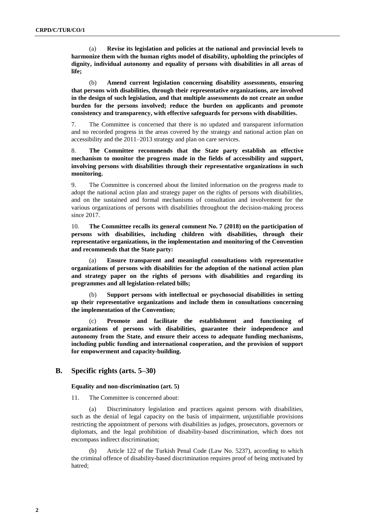(a) **Revise its legislation and policies at the national and provincial levels to harmonize them with the human rights model of disability, upholding the principles of dignity, individual autonomy and equality of persons with disabilities in all areas of life;**

(b) **Amend current legislation concerning disability assessments, ensuring that persons with disabilities, through their representative organizations, are involved in the design of such legislation, and that multiple assessments do not create an undue burden for the persons involved; reduce the burden on applicants and promote consistency and transparency, with effective safeguards for persons with disabilities.** 

7. The Committee is concerned that there is no updated and transparent information and no recorded progress in the areas covered by the strategy and national action plan on accessibility and the 2011–2013 strategy and plan on care services.

8. **The Committee recommends that the State party establish an effective mechanism to monitor the progress made in the fields of accessibility and support, involving persons with disabilities through their representative organizations in such monitoring.** 

9. The Committee is concerned about the limited information on the progress made to adopt the national action plan and strategy paper on the rights of persons with disabilities, and on the sustained and formal mechanisms of consultation and involvement for the various organizations of persons with disabilities throughout the decision-making process since 2017.

10. **The Committee recalls its general comment No. 7 (2018) on the participation of persons with disabilities, including children with disabilities, through their representative organizations, in the implementation and monitoring of the Convention and recommends that the State party:**

(a) **Ensure transparent and meaningful consultations with representative organizations of persons with disabilities for the adoption of the national action plan and strategy paper on the rights of persons with disabilities and regarding its programmes and all legislation-related bills;** 

(b) **Support persons with intellectual or psychosocial disabilities in setting up their representative organizations and include them in consultations concerning the implementation of the Convention;** 

(c) **Promote and facilitate the establishment and functioning of organizations of persons with disabilities, guarantee their independence and autonomy from the State, and ensure their access to adequate funding mechanisms, including public funding and international cooperation, and the provision of support for empowerment and capacity-building.**

# **B. Specific rights (arts. 5–30)**

### **Equality and non-discrimination (art. 5)**

11. The Committee is concerned about:

(a) Discriminatory legislation and practices against persons with disabilities, such as the denial of legal capacity on the basis of impairment, unjustifiable provisions restricting the appointment of persons with disabilities as judges, prosecutors, governors or diplomats, and the legal prohibition of disability-based discrimination, which does not encompass indirect discrimination;

Article 122 of the Turkish Penal Code (Law No. 5237), according to which the criminal offence of disability-based discrimination requires proof of being motivated by hatred;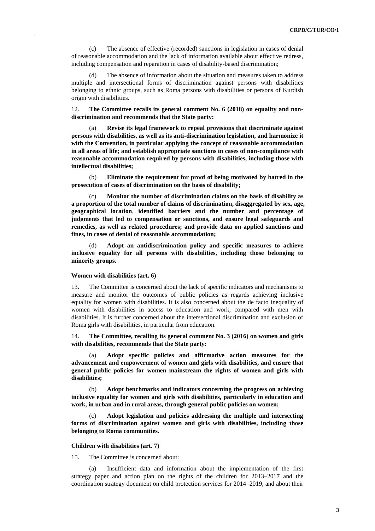(c) The absence of effective (recorded) sanctions in legislation in cases of denial of reasonable accommodation and the lack of information available about effective redress, including compensation and reparation in cases of disability-based discrimination;

(d) The absence of information about the situation and measures taken to address multiple and intersectional forms of discrimination against persons with disabilities belonging to ethnic groups, such as Roma persons with disabilities or persons of Kurdish origin with disabilities.

12. **The Committee recalls its general comment No. 6 (2018) on equality and nondiscrimination and recommends that the State party:**

(a) **Revise its legal framework to repeal provisions that discriminate against persons with disabilities, as well as its anti-discrimination legislation, and harmonize it with the Convention, in particular applying the concept of reasonable accommodation in all areas of life; and establish appropriate sanctions in cases of non-compliance with reasonable accommodation required by persons with disabilities, including those with intellectual disabilities;**

(b) **Eliminate the requirement for proof of being motivated by hatred in the prosecution of cases of discrimination on the basis of disability;**

(c) **Monitor the number of discrimination claims on the basis of disability as a proportion of the total number of claims of discrimination, disaggregated by sex, age, geographical location**, **identified barriers and the number and percentage of judgments that led to compensation or sanctions, and ensure legal safeguards and remedies, as well as related procedures; and provide data on applied sanctions and fines, in cases of denial of reasonable accommodation;**

(d) **Adopt an antidiscrimination policy and specific measures to achieve inclusive equality for all persons with disabilities, including those belonging to minority groups.** 

#### **Women with disabilities (art. 6)**

13. The Committee is concerned about the lack of specific indicators and mechanisms to measure and monitor the outcomes of public policies as regards achieving inclusive equality for women with disabilities. It is also concerned about the de facto inequality of women with disabilities in access to education and work, compared with men with disabilities. It is further concerned about the intersectional discrimination and exclusion of Roma girls with disabilities, in particular from education.

14. **The Committee, recalling its general comment No. 3 (2016) on women and girls with disabilities, recommends that the State party:** 

(a) **Adopt specific policies and affirmative action measures for the advancement and empowerment of women and girls with disabilities, and ensure that general public policies for women mainstream the rights of women and girls with disabilities;**

(b) **Adopt benchmarks and indicators concerning the progress on achieving inclusive equality for women and girls with disabilities, particularly in education and work, in urban and in rural areas, through general public policies on women;**

(c) **Adopt legislation and policies addressing the multiple and intersecting forms of discrimination against women and girls with disabilities, including those belonging to Roma communities.**

# **Children with disabilities (art. 7)**

15. The Committee is concerned about:

(a) Insufficient data and information about the implementation of the first strategy paper and action plan on the rights of the children for 2013–2017 and the coordination strategy document on child protection services for 2014–2019, and about their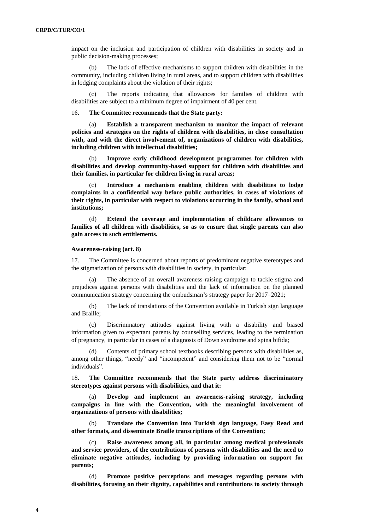impact on the inclusion and participation of children with disabilities in society and in public decision-making processes;

(b) The lack of effective mechanisms to support children with disabilities in the community, including children living in rural areas, and to support children with disabilities in lodging complaints about the violation of their rights;

The reports indicating that allowances for families of children with disabilities are subject to a minimum degree of impairment of 40 per cent.

16. **The Committee recommends that the State party:**

(a) **Establish a transparent mechanism to monitor the impact of relevant policies and strategies on the rights of children with disabilities, in close consultation with, and with the direct involvement of, organizations of children with disabilities, including children with intellectual disabilities;** 

(b) **Improve early childhood development programmes for children with disabilities and develop community-based support for children with disabilities and their families, in particular for children living in rural areas;**

(c) **Introduce a mechanism enabling children with disabilities to lodge complaints in a confidential way before public authorities, in cases of violations of their rights, in particular with respect to violations occurring in the family, school and institutions;** 

(d) **Extend the coverage and implementation of childcare allowances to families of all children with disabilities, so as to ensure that single parents can also gain access to such entitlements.** 

#### **Awareness-raising (art. 8)**

17. The Committee is concerned about reports of predominant negative stereotypes and the stigmatization of persons with disabilities in society, in particular:

The absence of an overall awareness-raising campaign to tackle stigma and prejudices against persons with disabilities and the lack of information on the planned communication strategy concerning the ombudsman's strategy paper for 2017–2021;

(b) The lack of translations of the Convention available in Turkish sign language and Braille;

(c) Discriminatory attitudes against living with a disability and biased information given to expectant parents by counselling services, leading to the termination of pregnancy, in particular in cases of a diagnosis of Down syndrome and spina bifida;

(d) Contents of primary school textbooks describing persons with disabilities as, among other things, "needy" and "incompetent" and considering them not to be "normal individuals".

18. **The Committee recommends that the State party address discriminatory stereotypes against persons with disabilities, and that it:**

(a) **Develop and implement an awareness-raising strategy, including campaigns in line with the Convention, with the meaningful involvement of organizations of persons with disabilities;**

(b) **Translate the Convention into Turkish sign language, Easy Read and other formats, and disseminate Braille transcriptions of the Convention;**

(c) **Raise awareness among all, in particular among medical professionals and service providers, of the contributions of persons with disabilities and the need to eliminate negative attitudes, including by providing information on support for parents;**

(d) **Promote positive perceptions and messages regarding persons with disabilities, focusing on their dignity, capabilities and contributions to society through**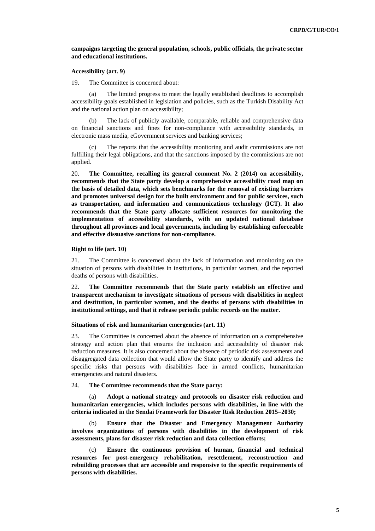# **campaigns targeting the general population, schools, public officials, the private sector and educational institutions.**

#### **Accessibility (art. 9)**

19. The Committee is concerned about:

(a) The limited progress to meet the legally established deadlines to accomplish accessibility goals established in legislation and policies, such as the Turkish Disability Act and the national action plan on accessibility;

(b) The lack of publicly available, comparable, reliable and comprehensive data on financial sanctions and fines for non-compliance with accessibility standards, in electronic mass media, eGovernment services and banking services;

The reports that the accessibility monitoring and audit commissions are not fulfilling their legal obligations, and that the sanctions imposed by the commissions are not applied.

20. **The Committee, recalling its general comment No. 2 (2014) on accessibility, recommends that the State party develop a comprehensive accessibility road map on the basis of detailed data, which sets benchmarks for the removal of existing barriers and promotes universal design for the built environment and for public services, such as transportation, and information and communications technology (ICT). It also recommends that the State party allocate sufficient resources for monitoring the implementation of accessibility standards, with an updated national database throughout all provinces and local governments, including by establishing enforceable and effective dissuasive sanctions for non-compliance.**

#### **Right to life (art. 10)**

21. The Committee is concerned about the lack of information and monitoring on the situation of persons with disabilities in institutions, in particular women, and the reported deaths of persons with disabilities.

22. **The Committee recommends that the State party establish an effective and transparent mechanism to investigate situations of persons with disabilities in neglect and destitution, in particular women, and the deaths of persons with disabilities in institutional settings, and that it release periodic public records on the matter.**

### **Situations of risk and humanitarian emergencies (art. 11)**

23. The Committee is concerned about the absence of information on a comprehensive strategy and action plan that ensures the inclusion and accessibility of disaster risk reduction measures. It is also concerned about the absence of periodic risk assessments and disaggregated data collection that would allow the State party to identify and address the specific risks that persons with disabilities face in armed conflicts, humanitarian emergencies and natural disasters.

#### 24. **The Committee recommends that the State party:**

(a) **Adopt a national strategy and protocols on disaster risk reduction and humanitarian emergencies, which includes persons with disabilities, in line with the criteria indicated in the Sendai Framework for Disaster Risk Reduction 2015–2030;** 

(b) **Ensure that the Disaster and Emergency Management Authority involves organizations of persons with disabilities in the development of risk assessments, plans for disaster risk reduction and data collection efforts;** 

(c) **Ensure the continuous provision of human, financial and technical resources for post-emergency rehabilitation, resettlement, reconstruction and rebuilding processes that are accessible and responsive to the specific requirements of persons with disabilities.**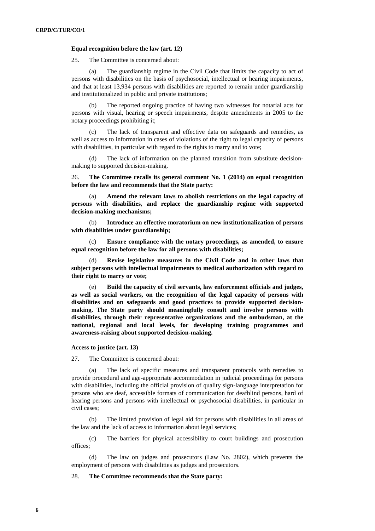# **Equal recognition before the law (art. 12)**

25. The Committee is concerned about:

(a) The guardianship regime in the Civil Code that limits the capacity to act of persons with disabilities on the basis of psychosocial, intellectual or hearing impairments, and that at least 13,934 persons with disabilities are reported to remain under guardianship and institutionalized in public and private institutions;

(b) The reported ongoing practice of having two witnesses for notarial acts for persons with visual, hearing or speech impairments, despite amendments in 2005 to the notary proceedings prohibiting it;

(c) The lack of transparent and effective data on safeguards and remedies, as well as access to information in cases of violations of the right to legal capacity of persons with disabilities, in particular with regard to the rights to marry and to vote;

(d) The lack of information on the planned transition from substitute decisionmaking to supported decision-making.

26. **The Committee recalls its general comment No. 1 (2014) on equal recognition before the law and recommends that the State party:**

Amend the relevant laws to abolish restrictions on the legal capacity of **persons with disabilities, and replace the guardianship regime with supported decision-making mechanisms;**

(b) **Introduce an effective moratorium on new institutionalization of persons with disabilities under guardianship;**

(c) **Ensure compliance with the notary proceedings, as amended, to ensure equal recognition before the law for all persons with disabilities;** 

(d) **Revise legislative measures in the Civil Code and in other laws that subject persons with intellectual impairments to medical authorization with regard to their right to marry or vote;**

(e) **Build the capacity of civil servants, law enforcement officials and judges, as well as social workers, on the recognition of the legal capacity of persons with disabilities and on safeguards and good practices to provide supported decisionmaking. The State party should meaningfully consult and involve persons with disabilities, through their representative organizations and the ombudsman, at the national, regional and local levels, for developing training programmes and awareness-raising about supported decision-making.**

### **Access to justice (art. 13)**

27. The Committee is concerned about:

(a) The lack of specific measures and transparent protocols with remedies to provide procedural and age-appropriate accommodation in judicial proceedings for persons with disabilities, including the official provision of quality sign-language interpretation for persons who are deaf, accessible formats of communication for deafblind persons, hard of hearing persons and persons with intellectual or psychosocial disabilities, in particular in civil cases;

(b) The limited provision of legal aid for persons with disabilities in all areas of the law and the lack of access to information about legal services;

(c) The barriers for physical accessibility to court buildings and prosecution offices;

(d) The law on judges and prosecutors (Law No. 2802), which prevents the employment of persons with disabilities as judges and prosecutors.

# 28. **The Committee recommends that the State party:**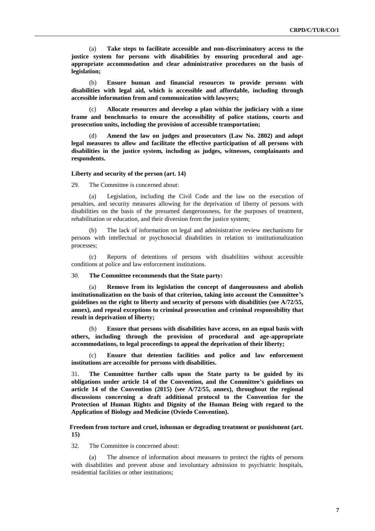(a) **Take steps to facilitate accessible and non-discriminatory access to the justice system for persons with disabilities by ensuring procedural and ageappropriate accommodation and clear administrative procedures on the basis of legislation;**

(b) **Ensure human and financial resources to provide persons with disabilities with legal aid, which is accessible and affordable, including through accessible information from and communication with lawyers;**

(c) **Allocate resources and develop a plan within the judiciary with a time frame and benchmarks to ensure the accessibility of police stations, courts and prosecution units, including the provision of accessible transportation;**

(d) **Amend the law on judges and prosecutors (Law No. 2802) and adopt legal measures to allow and facilitate the effective participation of all persons with disabilities in the justice system, including as judges, witnesses, complainants and respondents.** 

#### **Liberty and security of the person (art. 14)**

29. The Committee is concerned about:

(a) Legislation, including the Civil Code and the law on the execution of penalties, and security measures allowing for the deprivation of liberty of persons with disabilities on the basis of the presumed dangerousness, for the purposes of treatment, rehabilitation or education, and their diversion from the justice system;

(b) The lack of information on legal and administrative review mechanisms for persons with intellectual or psychosocial disabilities in relation to institutionalization processes;

(c) Reports of detentions of persons with disabilities without accessible conditions at police and law enforcement institutions.

#### 30. **The Committee recommends that the State party:**

(a) **Remove from its legislation the concept of dangerousness and abolish institutionalization on the basis of that criterion, taking into account the Committee's guidelines on the right to liberty and security of persons with disabilities (see A/72/55, annex), and repeal exceptions to criminal prosecution and criminal responsibility that result in deprivation of liberty;** 

(b) **Ensure that persons with disabilities have access, on an equal basis with others, including through the provision of procedural and age-appropriate accommodations, to legal proceedings to appeal the deprivation of their liberty;**

(c) **Ensure that detention facilities and police and law enforcement institutions are accessible for persons with disabilities.** 

31. **The Committee further calls upon the State party to be guided by its obligations under article 14 of the Convention, and the Committee's guidelines on article 14 of the Convention (2015) (see A/72/55, annex), throughout the regional discussions concerning a draft additional protocol to the Convention for the Protection of Human Rights and Dignity of the Human Being with regard to the Application of Biology and Medicine (Oviedo Convention).**

# **Freedom from torture and cruel, inhuman or degrading treatment or punishment (art. 15)**

32. The Committee is concerned about:

(a) The absence of information about measures to protect the rights of persons with disabilities and prevent abuse and involuntary admission to psychiatric hospitals, residential facilities or other institutions;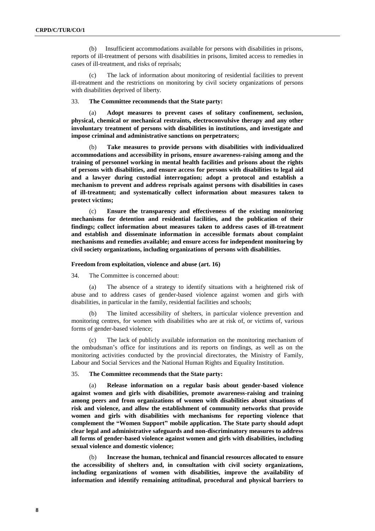(b) Insufficient accommodations available for persons with disabilities in prisons, reports of ill-treatment of persons with disabilities in prisons, limited access to remedies in cases of ill-treatment, and risks of reprisals;

(c) The lack of information about monitoring of residential facilities to prevent ill-treatment and the restrictions on monitoring by civil society organizations of persons with disabilities deprived of liberty.

# 33. **The Committee recommends that the State party:**

Adopt measures to prevent cases of solitary confinement, seclusion, **physical, chemical or mechanical restraints, electroconvulsive therapy and any other involuntary treatment of persons with disabilities in institutions, and investigate and impose criminal and administrative sanctions on perpetrators;**

(b) **Take measures to provide persons with disabilities with individualized accommodations and accessibility in prisons, ensure awareness-raising among and the training of personnel working in mental health facilities and prisons about the rights of persons with disabilities, and ensure access for persons with disabilities to legal aid and a lawyer during custodial interrogation; adopt a protocol and establish a mechanism to prevent and address reprisals against persons with disabilities in cases of ill-treatment; and systematically collect information about measures taken to protect victims;**

(c) **Ensure the transparency and effectiveness of the existing monitoring mechanisms for detention and residential facilities, and the publication of their findings; collect information about measures taken to address cases of ill-treatment and establish and disseminate information in accessible formats about complaint mechanisms and remedies available; and ensure access for independent monitoring by civil society organizations, including organizations of persons with disabilities.**

#### **Freedom from exploitation, violence and abuse (art. 16)**

34. The Committee is concerned about:

(a) The absence of a strategy to identify situations with a heightened risk of abuse and to address cases of gender-based violence against women and girls with disabilities, in particular in the family, residential facilities and schools;

(b) The limited accessibility of shelters, in particular violence prevention and monitoring centres, for women with disabilities who are at risk of, or victims of, various forms of gender-based violence;

(c) The lack of publicly available information on the monitoring mechanism of the ombudsman's office for institutions and its reports on findings, as well as on the monitoring activities conducted by the provincial directorates, the Ministry of Family, Labour and Social Services and the National Human Rights and Equality Institution.

# 35. **The Committee recommends that the State party:**

(a) **Release information on a regular basis about gender-based violence against women and girls with disabilities, promote awareness-raising and training among peers and from organizations of women with disabilities about situations of risk and violence, and allow the establishment of community networks that provide women and girls with disabilities with mechanisms for reporting violence that complement the "Women Support" mobile application. The State party should adopt clear legal and administrative safeguards and non-discriminatory measures to address all forms of gender-based violence against women and girls with disabilities, including sexual violence and domestic violence;**

(b) **Increase the human, technical and financial resources allocated to ensure the accessibility of shelters and, in consultation with civil society organizations, including organizations of women with disabilities, improve the availability of information and identify remaining attitudinal, procedural and physical barriers to**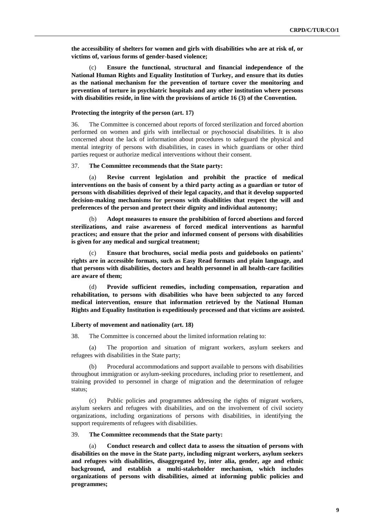**the accessibility of shelters for women and girls with disabilities who are at risk of, or victims of, various forms of gender-based violence;**

(c) **Ensure the functional, structural and financial independence of the National Human Rights and Equality Institution of Turkey, and ensure that its duties as the national mechanism for the prevention of torture cover the monitoring and prevention of torture in psychiatric hospitals and any other institution where persons with disabilities reside, in line with the provisions of article 16 (3) of the Convention.**

### **Protecting the integrity of the person (art. 17)**

36. The Committee is concerned about reports of forced sterilization and forced abortion performed on women and girls with intellectual or psychosocial disabilities. It is also concerned about the lack of information about procedures to safeguard the physical and mental integrity of persons with disabilities, in cases in which guardians or other third parties request or authorize medical interventions without their consent.

# 37. **The Committee recommends that the State party:**

(a) **Revise current legislation and prohibit the practice of medical interventions on the basis of consent by a third party acting as a guardian or tutor of persons with disabilities deprived of their legal capacity, and that it develop supported decision-making mechanisms for persons with disabilities that respect the will and preferences of the person and protect their dignity and individual autonomy;**

(b) **Adopt measures to ensure the prohibition of forced abortions and forced sterilizations, and raise awareness of forced medical interventions as harmful practices; and ensure that the prior and informed consent of persons with disabilities is given for any medical and surgical treatment;**

(c) **Ensure that brochures, social media posts and guidebooks on patients' rights are in accessible formats, such as Easy Read formats and plain language, and that persons with disabilities, doctors and health personnel in all health-care facilities are aware of them;** 

(d) **Provide sufficient remedies, including compensation, reparation and rehabilitation, to persons with disabilities who have been subjected to any forced medical intervention, ensure that information retrieved by the National Human Rights and Equality Institution is expeditiously processed and that victims are assisted.**

#### **Liberty of movement and nationality (art. 18)**

38. The Committee is concerned about the limited information relating to:

(a) The proportion and situation of migrant workers, asylum seekers and refugees with disabilities in the State party;

Procedural accommodations and support available to persons with disabilities throughout immigration or asylum-seeking procedures, including prior to resettlement, and training provided to personnel in charge of migration and the determination of refugee status;

(c) Public policies and programmes addressing the rights of migrant workers, asylum seekers and refugees with disabilities, and on the involvement of civil society organizations, including organizations of persons with disabilities, in identifying the support requirements of refugees with disabilities.

# 39. **The Committee recommends that the State party:**

(a) **Conduct research and collect data to assess the situation of persons with disabilities on the move in the State party, including migrant workers, asylum seekers and refugees with disabilities, disaggregated by, inter alia, gender, age and ethnic background, and establish a multi-stakeholder mechanism, which includes organizations of persons with disabilities, aimed at informing public policies and programmes;**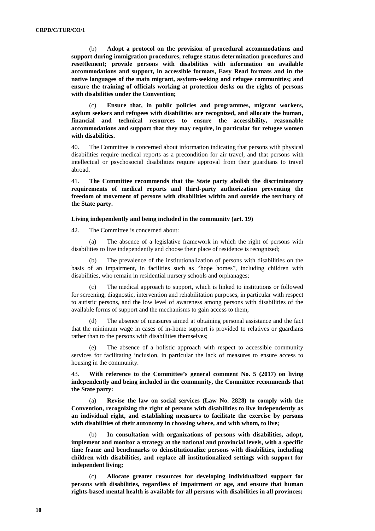(b) **Adopt a protocol on the provision of procedural accommodations and support during immigration procedures, refugee status determination procedures and resettlement; provide persons with disabilities with information on available accommodations and support, in accessible formats, Easy Read formats and in the native languages of the main migrant, asylum-seeking and refugee communities; and ensure the training of officials working at protection desks on the rights of persons with disabilities under the Convention;** 

(c) **Ensure that, in public policies and programmes, migrant workers, asylum seekers and refugees with disabilities are recognized, and allocate the human, financial and technical resources to ensure the accessibility, reasonable accommodations and support that they may require, in particular for refugee women with disabilities.**

40. The Committee is concerned about information indicating that persons with physical disabilities require medical reports as a precondition for air travel, and that persons with intellectual or psychosocial disabilities require approval from their guardians to travel abroad.

41. **The Committee recommends that the State party abolish the discriminatory requirements of medical reports and third-party authorization preventing the freedom of movement of persons with disabilities within and outside the territory of the State party.**

#### **Living independently and being included in the community (art. 19)**

42. The Committee is concerned about:

(a) The absence of a legislative framework in which the right of persons with disabilities to live independently and choose their place of residence is recognized;

The prevalence of the institutionalization of persons with disabilities on the basis of an impairment, in facilities such as "hope homes", including children with disabilities, who remain in residential nursery schools and orphanages;

(c) The medical approach to support, which is linked to institutions or followed for screening, diagnostic, intervention and rehabilitation purposes, in particular with respect to autistic persons, and the low level of awareness among persons with disabilities of the available forms of support and the mechanisms to gain access to them;

(d) The absence of measures aimed at obtaining personal assistance and the fact that the minimum wage in cases of in-home support is provided to relatives or guardians rather than to the persons with disabilities themselves;

(e) The absence of a holistic approach with respect to accessible community services for facilitating inclusion, in particular the lack of measures to ensure access to housing in the community.

43. **With reference to the Committee's general comment No. 5 (2017) on living independently and being included in the community, the Committee recommends that the State party:**

(a) **Revise the law on social services (Law No. 2828) to comply with the Convention, recognizing the right of persons with disabilities to live independently as an individual right, and establishing measures to facilitate the exercise by persons with disabilities of their autonomy in choosing where, and with whom, to live;**

In consultation with organizations of persons with disabilities, adopt, **implement and monitor a strategy at the national and provincial levels, with a specific time frame and benchmarks to deinstitutionalize persons with disabilities, including children with disabilities, and replace all institutionalized settings with support for independent living;** 

(c) **Allocate greater resources for developing individualized support for persons with disabilities, regardless of impairment or age, and ensure that human rights-based mental health is available for all persons with disabilities in all provinces;**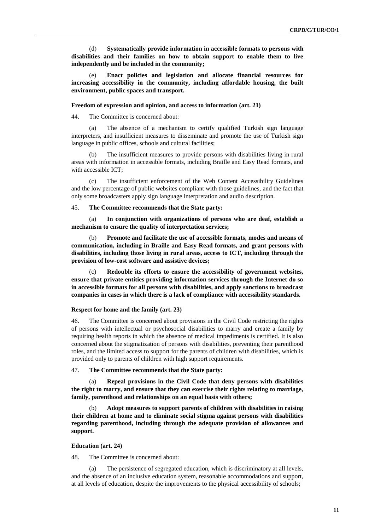(d) **Systematically provide information in accessible formats to persons with disabilities and their families on how to obtain support to enable them to live independently and be included in the community;**

(e) **Enact policies and legislation and allocate financial resources for increasing accessibility in the community, including affordable housing, the built environment, public spaces and transport.**

#### **Freedom of expression and opinion, and access to information (art. 21)**

44. The Committee is concerned about:

(a) The absence of a mechanism to certify qualified Turkish sign language interpreters, and insufficient measures to disseminate and promote the use of Turkish sign language in public offices, schools and cultural facilities;

The insufficient measures to provide persons with disabilities living in rural areas with information in accessible formats, including Braille and Easy Read formats, and with accessible ICT;

(c) The insufficient enforcement of the Web Content Accessibility Guidelines and the low percentage of public websites compliant with those guidelines, and the fact that only some broadcasters apply sign language interpretation and audio description.

# 45. **The Committee recommends that the State party:**

(a) **In conjunction with organizations of persons who are deaf, establish a mechanism to ensure the quality of interpretation services;**

(b) **Promote and facilitate the use of accessible formats, modes and means of communication, including in Braille and Easy Read formats, and grant persons with disabilities, including those living in rural areas, access to ICT, including through the provision of low-cost software and assistive devices;**

(c) **Redouble its efforts to ensure the accessibility of government websites, ensure that private entities providing information services through the Internet do so in accessible formats for all persons with disabilities, and apply sanctions to broadcast companies in cases in which there is a lack of compliance with accessibility standards.**

### **Respect for home and the family (art. 23)**

46. The Committee is concerned about provisions in the Civil Code restricting the rights of persons with intellectual or psychosocial disabilities to marry and create a family by requiring health reports in which the absence of medical impediments is certified. It is also concerned about the stigmatization of persons with disabilities, preventing their parenthood roles, and the limited access to support for the parents of children with disabilities, which is provided only to parents of children with high support requirements.

47. **The Committee recommends that the State party:**

(a) **Repeal provisions in the Civil Code that deny persons with disabilities the right to marry, and ensure that they can exercise their rights relating to marriage, family, parenthood and relationships on an equal basis with others;** 

(b) **Adopt measures to support parents of children with disabilities in raising their children at home and to eliminate social stigma against persons with disabilities regarding parenthood, including through the adequate provision of allowances and support.**

# **Education (art. 24)**

48. The Committee is concerned about:

(a) The persistence of segregated education, which is discriminatory at all levels, and the absence of an inclusive education system, reasonable accommodations and support, at all levels of education, despite the improvements to the physical accessibility of schools;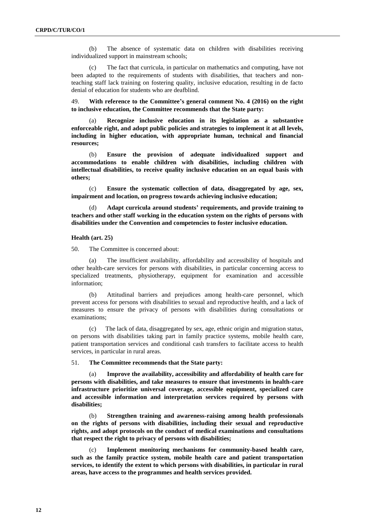(b) The absence of systematic data on children with disabilities receiving individualized support in mainstream schools;

(c) The fact that curricula, in particular on mathematics and computing, have not been adapted to the requirements of students with disabilities, that teachers and nonteaching staff lack training on fostering quality, inclusive education, resulting in de facto denial of education for students who are deafblind.

49. **With reference to the Committee's general comment No. 4 (2016) on the right to inclusive education, the Committee recommends that the State party:**

(a) **Recognize inclusive education in its legislation as a substantive enforceable right, and adopt public policies and strategies to implement it at all levels, including in higher education, with appropriate human, technical and financial resources;** 

(b) **Ensure the provision of adequate individualized support and accommodations to enable children with disabilities, including children with intellectual disabilities, to receive quality inclusive education on an equal basis with others;** 

(c) **Ensure the systematic collection of data, disaggregated by age, sex, impairment and location, on progress towards achieving inclusive education;** 

(d) **Adapt curricula around students' requirements, and provide training to teachers and other staff working in the education system on the rights of persons with disabilities under the Convention and competencies to foster inclusive education.**

# **Health (art. 25)**

50. The Committee is concerned about:

(a) The insufficient availability, affordability and accessibility of hospitals and other health-care services for persons with disabilities, in particular concerning access to specialized treatments, physiotherapy, equipment for examination and accessible information;

(b) Attitudinal barriers and prejudices among health-care personnel, which prevent access for persons with disabilities to sexual and reproductive health, and a lack of measures to ensure the privacy of persons with disabilities during consultations or examinations;

(c) The lack of data, disaggregated by sex, age, ethnic origin and migration status, on persons with disabilities taking part in family practice systems, mobile health care, patient transportation services and conditional cash transfers to facilitate access to health services, in particular in rural areas.

51. **The Committee recommends that the State party:**

(a) **Improve the availability, accessibility and affordability of health care for persons with disabilities, and take measures to ensure that investments in health-care infrastructure prioritize universal coverage, accessible equipment, specialized care and accessible information and interpretation services required by persons with disabilities;**

(b) **Strengthen training and awareness-raising among health professionals on the rights of persons with disabilities, including their sexual and reproductive rights, and adopt protocols on the conduct of medical examinations and consultations that respect the right to privacy of persons with disabilities;**

(c) **Implement monitoring mechanisms for community-based health care, such as the family practice system, mobile health care and patient transportation services, to identify the extent to which persons with disabilities, in particular in rural areas, have access to the programmes and health services provided.**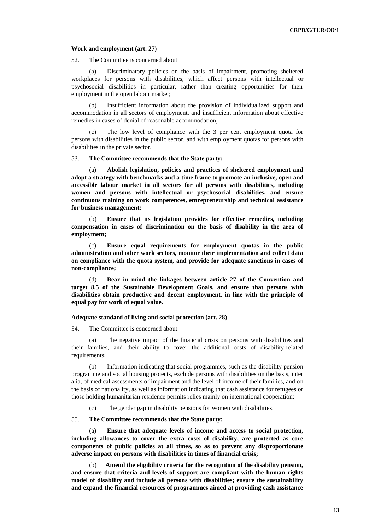#### **Work and employment (art. 27)**

52. The Committee is concerned about:

(a) Discriminatory policies on the basis of impairment, promoting sheltered workplaces for persons with disabilities, which affect persons with intellectual or psychosocial disabilities in particular, rather than creating opportunities for their employment in the open labour market;

(b) Insufficient information about the provision of individualized support and accommodation in all sectors of employment, and insufficient information about effective remedies in cases of denial of reasonable accommodation;

(c) The low level of compliance with the 3 per cent employment quota for persons with disabilities in the public sector, and with employment quotas for persons with disabilities in the private sector.

# 53. **The Committee recommends that the State party:**

(a) **Abolish legislation, policies and practices of sheltered employment and adopt a strategy with benchmarks and a time frame to promote an inclusive, open and accessible labour market in all sectors for all persons with disabilities, including women and persons with intellectual or psychosocial disabilities, and ensure continuous training on work competences, entrepreneurship and technical assistance for business management;**

(b) **Ensure that its legislation provides for effective remedies, including compensation in cases of discrimination on the basis of disability in the area of employment;** 

(c) **Ensure equal requirements for employment quotas in the public administration and other work sectors, monitor their implementation and collect data on compliance with the quota system, and provide for adequate sanctions in cases of non-compliance;**

(d) **Bear in mind the linkages between article 27 of the Convention and target 8.5 of the Sustainable Development Goals, and ensure that persons with disabilities obtain productive and decent employment, in line with the principle of equal pay for work of equal value.**

### **Adequate standard of living and social protection (art. 28)**

54. The Committee is concerned about:

(a) The negative impact of the financial crisis on persons with disabilities and their families, and their ability to cover the additional costs of disability-related requirements;

(b) Information indicating that social programmes, such as the disability pension programme and social housing projects, exclude persons with disabilities on the basis, inter alia, of medical assessments of impairment and the level of income of their families, and on the basis of nationality, as well as information indicating that cash assistance for refugees or those holding humanitarian residence permits relies mainly on international cooperation;

(c) The gender gap in disability pensions for women with disabilities.

# 55. **The Committee recommends that the State party:**

(a) **Ensure that adequate levels of income and access to social protection, including allowances to cover the extra costs of disability, are protected as core components of public policies at all times, so as to prevent any disproportionate adverse impact on persons with disabilities in times of financial crisis;**

(b) **Amend the eligibility criteria for the recognition of the disability pension, and ensure that criteria and levels of support are compliant with the human rights model of disability and include all persons with disabilities; ensure the sustainability and expand the financial resources of programmes aimed at providing cash assistance**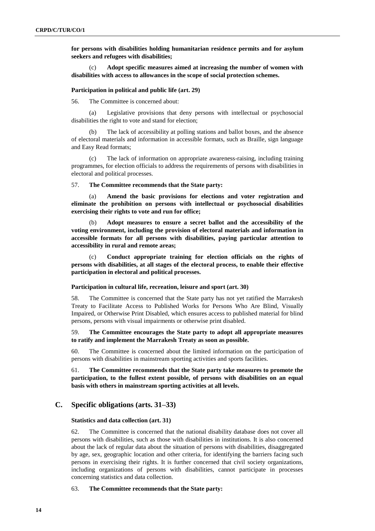**for persons with disabilities holding humanitarian residence permits and for asylum seekers and refugees with disabilities;**

(c) **Adopt specific measures aimed at increasing the number of women with disabilities with access to allowances in the scope of social protection schemes.** 

#### **Participation in political and public life (art. 29)**

56. The Committee is concerned about:

(a) Legislative provisions that deny persons with intellectual or psychosocial disabilities the right to vote and stand for election;

(b) The lack of accessibility at polling stations and ballot boxes, and the absence of electoral materials and information in accessible formats, such as Braille, sign language and Easy Read formats;

(c) The lack of information on appropriate awareness-raising, including training programmes, for election officials to address the requirements of persons with disabilities in electoral and political processes.

57. **The Committee recommends that the State party:**

Amend the basic provisions for elections and voter registration and **eliminate the prohibition on persons with intellectual or psychosocial disabilities exercising their rights to vote and run for office;**

Adopt measures to ensure a secret ballot and the accessibility of the **voting environment, including the provision of electoral materials and information in accessible formats for all persons with disabilities, paying particular attention to accessibility in rural and remote areas;**

(c) **Conduct appropriate training for election officials on the rights of persons with disabilities, at all stages of the electoral process, to enable their effective participation in electoral and political processes.**

# **Participation in cultural life, recreation, leisure and sport (art. 30)**

58. The Committee is concerned that the State party has not yet ratified the Marrakesh Treaty to Facilitate Access to Published Works for Persons Who Are Blind, Visually Impaired, or Otherwise Print Disabled, which ensures access to published material for blind persons, persons with visual impairments or otherwise print disabled.

59. **The Committee encourages the State party to adopt all appropriate measures to ratify and implement the Marrakesh Treaty as soon as possible.**

60. The Committee is concerned about the limited information on the participation of persons with disabilities in mainstream sporting activities and sports facilities.

61. **The Committee recommends that the State party take measures to promote the participation, to the fullest extent possible, of persons with disabilities on an equal basis with others in mainstream sporting activities at all levels.** 

# **C. Specific obligations (arts. 31–33)**

#### **Statistics and data collection (art. 31)**

62. The Committee is concerned that the national disability database does not cover all persons with disabilities, such as those with disabilities in institutions. It is also concerned about the lack of regular data about the situation of persons with disabilities, disaggregated by age, sex, geographic location and other criteria, for identifying the barriers facing such persons in exercising their rights. It is further concerned that civil society organizations, including organizations of persons with disabilities, cannot participate in processes concerning statistics and data collection.

# 63. **The Committee recommends that the State party:**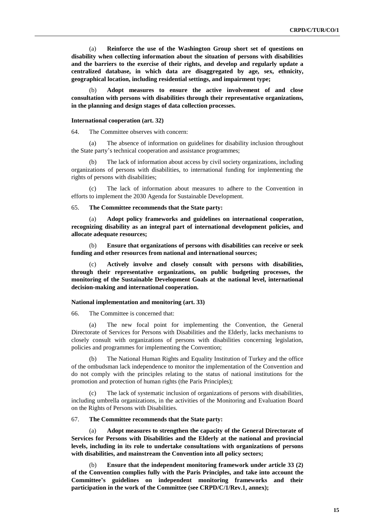(a) **Reinforce the use of the Washington Group short set of questions on disability when collecting information about the situation of persons with disabilities and the barriers to the exercise of their rights, and develop and regularly update a centralized database, in which data are disaggregated by age, sex, ethnicity, geographical location, including residential settings, and impairment type;** 

(b) **Adopt measures to ensure the active involvement of and close consultation with persons with disabilities through their representative organizations, in the planning and design stages of data collection processes.**

## **International cooperation (art. 32)**

64. The Committee observes with concern:

(a) The absence of information on guidelines for disability inclusion throughout the State party's technical cooperation and assistance programmes;

(b) The lack of information about access by civil society organizations, including organizations of persons with disabilities, to international funding for implementing the rights of persons with disabilities;

(c) The lack of information about measures to adhere to the Convention in efforts to implement the 2030 Agenda for Sustainable Development.

#### 65. **The Committee recommends that the State party:**

(a) **Adopt policy frameworks and guidelines on international cooperation, recognizing disability as an integral part of international development policies, and allocate adequate resources;**

(b) **Ensure that organizations of persons with disabilities can receive or seek funding and other resources from national and international sources;**

(c) **Actively involve and closely consult with persons with disabilities, through their representative organizations, on public budgeting processes, the monitoring of the Sustainable Development Goals at the national level, international decision-making and international cooperation.**

#### **National implementation and monitoring (art. 33)**

66. The Committee is concerned that:

(a) The new focal point for implementing the Convention, the General Directorate of Services for Persons with Disabilities and the Elderly, lacks mechanisms to closely consult with organizations of persons with disabilities concerning legislation, policies and programmes for implementing the Convention;

The National Human Rights and Equality Institution of Turkey and the office of the ombudsman lack independence to monitor the implementation of the Convention and do not comply with the principles relating to the status of national institutions for the promotion and protection of human rights (the Paris Principles);

(c) The lack of systematic inclusion of organizations of persons with disabilities, including umbrella organizations, in the activities of the Monitoring and Evaluation Board on the Rights of Persons with Disabilities.

### 67. **The Committee recommends that the State party:**

(a) **Adopt measures to strengthen the capacity of the General Directorate of Services for Persons with Disabilities and the Elderly at the national and provincial levels, including in its role to undertake consultations with organizations of persons with disabilities, and mainstream the Convention into all policy sectors;** 

(b) **Ensure that the independent monitoring framework under article 33 (2) of the Convention complies fully with the Paris Principles, and take into account the Committee's guidelines on independent monitoring frameworks and their participation in the work of the Committee (see CRPD/C/1/Rev.1, annex);**